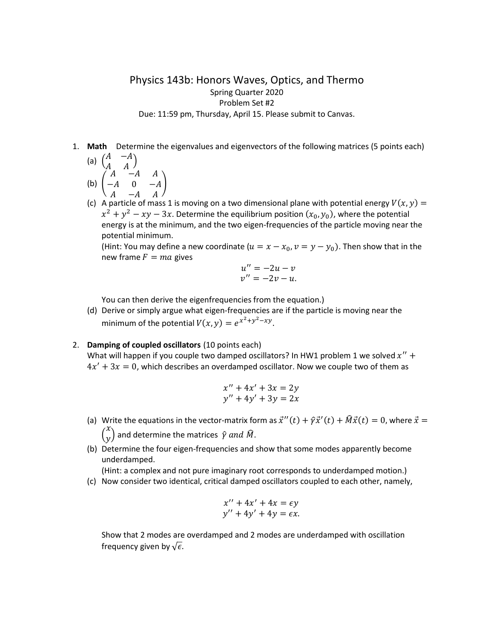## Physics 143b: Honors Waves, Optics, and Thermo Spring Quarter 2020 Problem Set #2 Due: 11:59 pm, Thursday, April 15. Please submit to Canvas.

1. **Math** Determine the eigenvalues and eigenvectors of the following matrices (5 points each)

(a) 
$$
\begin{pmatrix} A & -A \\ A & A \end{pmatrix}
$$
  
\n(b)  $\begin{pmatrix} A & -A & A \\ -A & 0 & -A \end{pmatrix}$ 

$$
\begin{array}{c}\n\text{(b)} \left( -A \quad 0 \quad -A \right) \\
A \quad -A \quad A\n\end{array}
$$

(c) A particle of mass 1 is moving on a two dimensional plane with potential energy  $V(x, y) =$  $x^{2} + y^{2} - xy - 3x$ . Determine the equilibrium position  $(x_{0}, y_{0})$ , where the potential energy is at the minimum, and the two eigen-frequencies of the particle moving near the potential minimum.

(Hint: You may define a new coordinate  $(u = x - x_0, v = y - y_0)$ . Then show that in the new frame  $F = ma$  gives

$$
u'' = -2u - v
$$
  

$$
v'' = -2v - u.
$$

You can then derive the eigenfrequencies from the equation.)

(d) Derive or simply argue what eigen-frequencies are if the particle is moving near the minimum of the potential  $V(x, y) = e^{x^2 + y^2 - xy}$ .

## 2. **Damping of coupled oscillators** (10 points each)

 $\Delta$ 

What will happen if you couple two damped oscillators? In HW1 problem 1 we solved  $x''$  +  $4x' + 3x = 0$ , which describes an overdamped oscillator. Now we couple two of them as

$$
x'' + 4x' + 3x = 2y
$$
  

$$
y'' + 4y' + 3y = 2x
$$

- (a) Write the equations in the vector-matrix form as  $\vec{x}''(t) + \hat{y}\vec{x}'(t) + \hat{M}\vec{x}(t) = 0$ , where  $\vec{x} =$  $\overline{\mathcal{L}}$  $\genfrac{}{}{0pt}{}{\begin{array}{c} \chi \ y \end{array}}$  and determine the matrices  $\ \hat{\gamma}$  and  $\hat{M}.$
- (b) Determine the four eigen-frequencies and show that some modes apparently become underdamped.

(Hint: a complex and not pure imaginary root corresponds to underdamped motion.)

(c) Now consider two identical, critical damped oscillators coupled to each other, namely,

$$
x'' + 4x' + 4x = \epsilon y
$$
  

$$
y'' + 4y' + 4y = \epsilon x.
$$

Show that 2 modes are overdamped and 2 modes are underdamped with oscillation frequency given by  $\sqrt{\epsilon}$ .